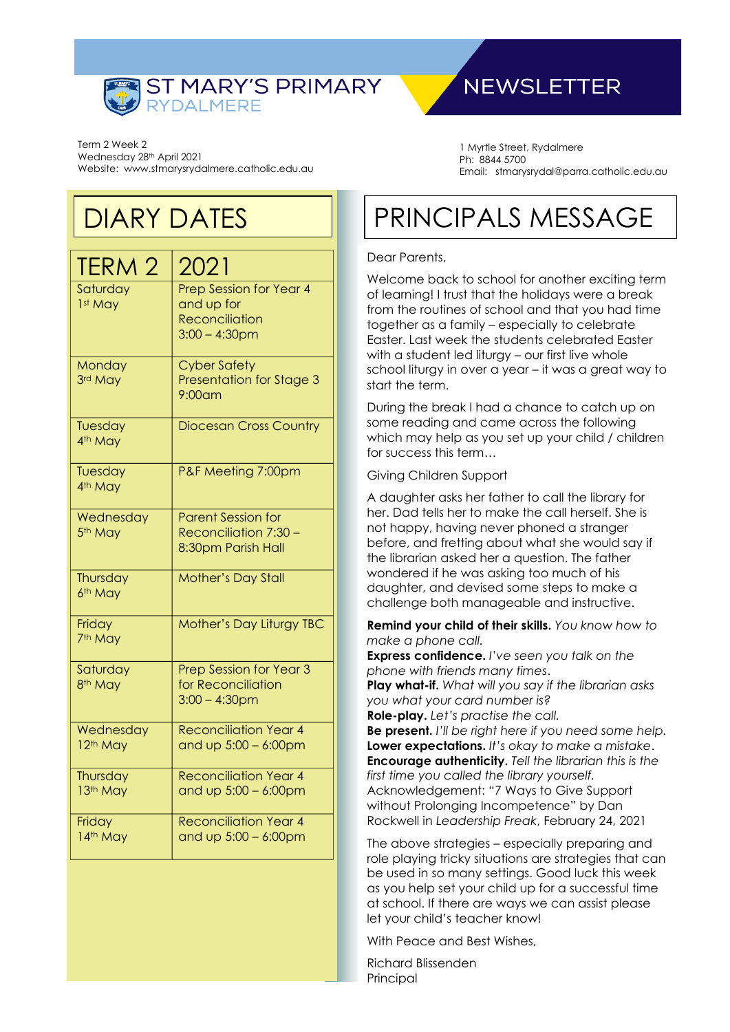

Term 2 Week 2 Wednesday 28th April 2021 Website: www.stmarysrydalmere.catholic.edu.au

## DIARY DATES

| TERM 2                            | 2021                                                                               |
|-----------------------------------|------------------------------------------------------------------------------------|
| Saturday<br>1st May               | Prep Session for Year 4<br>and up for<br><b>Reconciliation</b><br>$3:00 - 4:30$ pm |
| Monday<br>3rd May                 | <b>Cyber Safety</b><br>Presentation for Stage 3<br>9:00am                          |
| Tuesday<br>4 <sup>th</sup> May    | <b>Diocesan Cross Country</b>                                                      |
| Tuesday<br>4 <sup>th</sup> May    | P&F Meeting 7:00pm                                                                 |
| Wednesday<br>5 <sup>th</sup> May  | <b>Parent Session for</b><br>Reconciliation 7:30 -<br>8:30pm Parish Hall           |
| Thursday<br>6 <sup>th</sup> May   | <b>Mother's Day Stall</b>                                                          |
| Friday<br>7 <sup>th</sup> May     | Mother's Day Liturgy TBC                                                           |
| Saturday<br>8 <sup>th</sup> May   | <b>Prep Session for Year 3</b><br>for Reconciliation<br>$3:00 - 4:30$ pm           |
| Wednesday<br>12 <sup>th</sup> May | <b>Reconciliation Year 4</b><br>and up $5:00 - 6:00$ pm                            |
| Thursday<br>13th May              | <b>Reconciliation Year 4</b><br>and up $5:00 - 6:00$ pm                            |
| Friday<br>14th May                | <b>Reconciliation Year 4</b><br>and up $5:00 - 6:00$ pm                            |

## **NEWSLETTER**

1 Myrtle Street, Rydalmere Ph: 8844 5700 Email: stmarysrydal@parra.catholic.edu.au

# PRINCIPALS MESSAGE

#### Dear Parents,

Welcome back to school for another exciting term of learning! I trust that the holidays were a break from the routines of school and that you had time together as a family – especially to celebrate Easter. Last week the students celebrated Easter with a student led liturgy – our first live whole school liturgy in over a year – it was a great way to start the term.

During the break I had a chance to catch up on some reading and came across the following which may help as you set up your child / children for success this term…

Giving Children Support

A daughter asks her father to call the library for her. Dad tells her to make the call herself. She is not happy, having never phoned a stranger before, and fretting about what she would say if the librarian asked her a question. The father wondered if he was asking too much of his daughter, and devised some steps to make a challenge both manageable and instructive.

**Remind your child of their skills.** *You know how to make a phone call.*

**Express confidence.** *I've seen you talk on the phone with friends many times*.

**Play what-if.** *What will you say if the librarian asks you what your card number is?*

**Role-play.** *Let's practise the call.*

**Be present.** *I'll be right here if you need some help.* **Lower expectations.** *It's okay to make a mistake*. **Encourage authenticity.** *Tell the librarian this is the first time you called the library yourself.* Acknowledgement: "7 Ways to Give Support without Prolonging Incompetence" by Dan Rockwell in *Leadership Freak*, February 24, 2021

The above strategies – especially preparing and role playing tricky situations are strategies that can be used in so many settings. Good luck this week as you help set your child up for a successful time at school. If there are ways we can assist please let your child's teacher know!

With Peace and Best Wishes,

Richard Blissenden Principal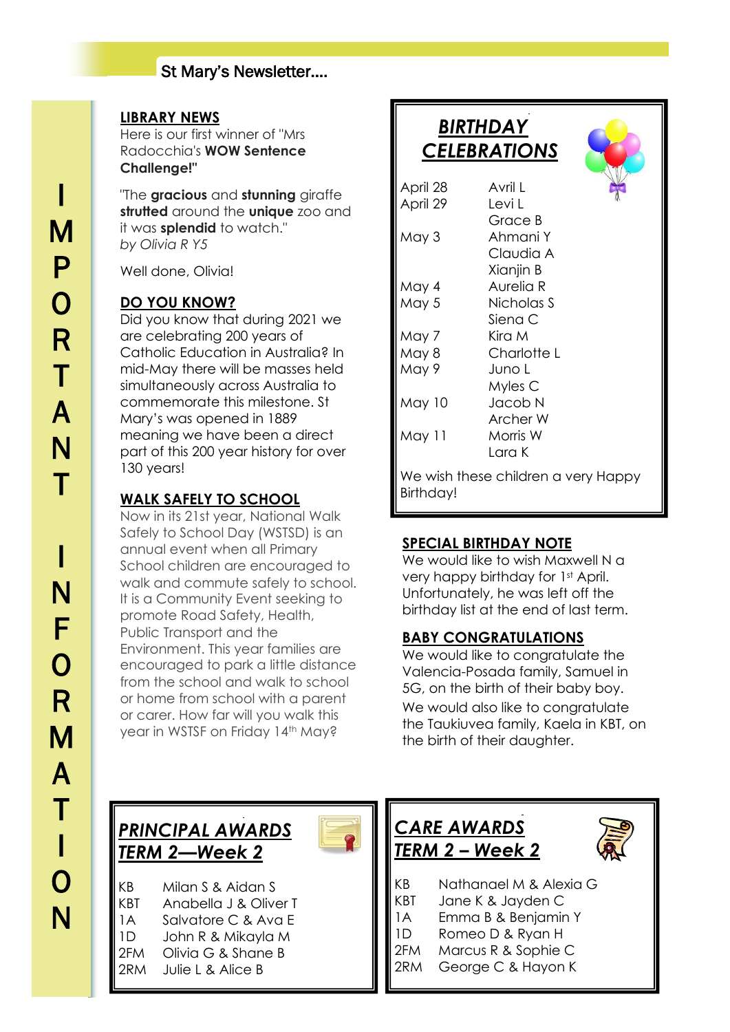#### **LIBRARY NEWS**

I

M

P

O

R

T

A

N

Here is our first winner of "Mrs Radocchia's **WOW Sentence Challenge!"**

"The **gracious** and **stunning** giraffe **strutted** around the **unique** zoo and it was **splendid** to watch." *by Olivia R Y5*

Well done, Olivia!

#### **DO YOU KNOW?**

Did you know that during 2021 we are celebrating 200 years of Catholic Education in Australia? In mid-May there will be masses held simultaneously across Australia to commemorate this milestone. St Mary's was opened in 1889 meaning we have been a direct part of this 200 year history for over 130 years!

#### **WALK SAFELY TO SCHOOL**

Now in its 21st year, National Walk Safely to School Day (WSTSD) is an annual event when all Primary School children are encouraged to walk and commute safely to school. It is a Community Event seeking to promote Road Safety, Health, Public Transport and the Environment. This year families are encouraged to park a little distance from the school and walk to school or home from school with a parent or carer. How far will you walk this year in WSTSF on Friday 14th May?

|                  | BIRTHDAY                            |  |
|------------------|-------------------------------------|--|
|                  | <b>CELEBRATIONS</b>                 |  |
|                  |                                     |  |
| April 28         | A∨ril I                             |  |
| April 29         | Levi L                              |  |
|                  | Grace B                             |  |
| May 3            | Ahmani Y                            |  |
|                  | Claudia A                           |  |
|                  | Xianjin B                           |  |
| May 4            | Aurelia R                           |  |
| May 5            | Nicholas S                          |  |
|                  | Siena C                             |  |
| May 7            | Kira M                              |  |
| May 8            | Charlotte L                         |  |
| May 9            | Juno L                              |  |
|                  | Myles C                             |  |
| <b>May 10</b>    | Jacob N                             |  |
|                  | Archer W                            |  |
| May 11           | Morris W                            |  |
|                  | l ara K                             |  |
|                  | We wish these children a very Happy |  |
| <b>Birthday!</b> |                                     |  |
|                  |                                     |  |

J

#### **SPECIAL BIRTHDAY NOTE**

We would like to wish Maxwell N a very happy birthday for 1<sup>st</sup> April. Unfortunately, he was left off the birthday list at the end of last term.

#### **BABY CONGRATULATIONS**

We would like to congratulate the Valencia-Posada family, Samuel in 5G, on the birth of their baby boy. We would also like to congratulate the Taukiuvea family, Kaela in KBT, on the birth of their daughter.

#### $\overline{a}$ *PRINCIPAL AWARDS TERM 2—Week 2*



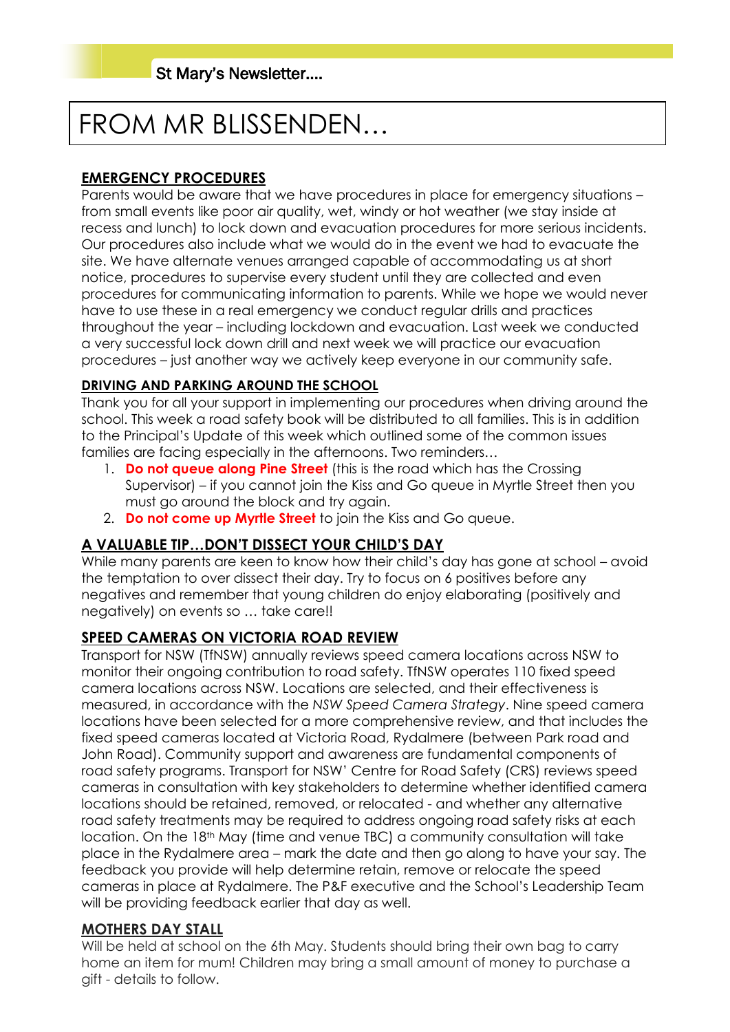# FROM MR BLISSENDEN…

### **EMERGENCY PROCEDURES**

Parents would be aware that we have procedures in place for emergency situations – from small events like poor air quality, wet, windy or hot weather (we stay inside at recess and lunch) to lock down and evacuation procedures for more serious incidents. Our procedures also include what we would do in the event we had to evacuate the site. We have alternate venues arranged capable of accommodating us at short notice, procedures to supervise every student until they are collected and even procedures for communicating information to parents. While we hope we would never have to use these in a real emergency we conduct regular drills and practices throughout the year – including lockdown and evacuation. Last week we conducted a very successful lock down drill and next week we will practice our evacuation procedures – just another way we actively keep everyone in our community safe.

#### **DRIVING AND PARKING AROUND THE SCHOOL**

Thank you for all your support in implementing our procedures when driving around the school. This week a road safety book will be distributed to all families. This is in addition to the Principal's Update of this week which outlined some of the common issues families are facing especially in the afternoons. Two reminders…

- 1. **Do not queue along Pine Street** (this is the road which has the Crossing Supervisor) – if you cannot join the Kiss and Go queue in Myrtle Street then you must go around the block and try again.
- 2. **Do not come up Myrtle Street** to join the Kiss and Go queue.

#### **A VALUABLE TIP…DON'T DISSECT YOUR CHILD'S DAY**

While many parents are keen to know how their child's day has gone at school – avoid the temptation to over dissect their day. Try to focus on 6 positives before any negatives and remember that young children do enjoy elaborating (positively and negatively) on events so … take care!!

#### **SPEED CAMERAS ON VICTORIA ROAD REVIEW**

Transport for NSW (TfNSW) annually reviews speed camera locations across NSW to monitor their ongoing contribution to road safety. TfNSW operates 110 fixed speed camera locations across NSW. Locations are selected, and their effectiveness is measured, in accordance with the *NSW Speed Camera Strategy*. Nine speed camera locations have been selected for a more comprehensive review, and that includes the fixed speed cameras located at Victoria Road, Rydalmere (between Park road and John Road). Community support and awareness are fundamental components of road safety programs. Transport for NSW' Centre for Road Safety (CRS) reviews speed cameras in consultation with key stakeholders to determine whether identified camera locations should be retained, removed, or relocated - and whether any alternative road safety treatments may be required to address ongoing road safety risks at each location. On the 18th May (time and venue TBC) a community consultation will take place in the Rydalmere area – mark the date and then go along to have your say. The feedback you provide will help determine retain, remove or relocate the speed cameras in place at Rydalmere. The P&F executive and the School's Leadership Team will be providing feedback earlier that day as well.

#### **MOTHERS DAY STALL**

Will be held at school on the 6th May. Students should bring their own bag to carry home an item for mum! Children may bring a small amount of money to purchase a gift - details to follow.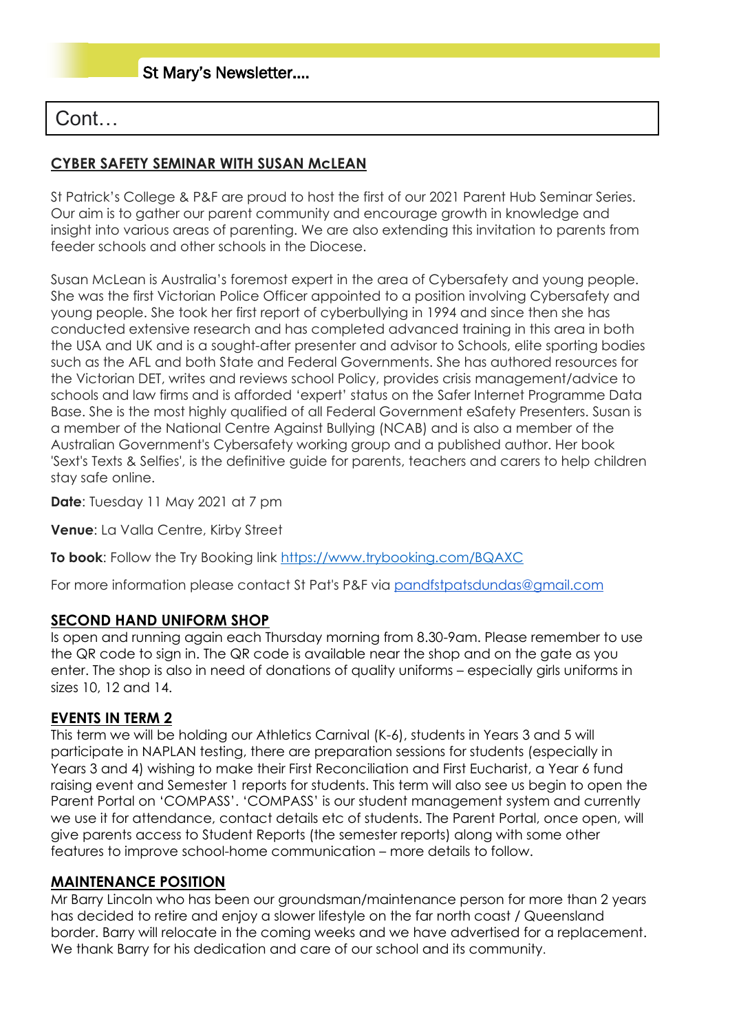### Cont…

#### **CYBER SAFETY SEMINAR WITH SUSAN McLEAN**

St Patrick's College & P&F are proud to host the first of our 2021 Parent Hub Seminar Series. Our aim is to gather our parent community and encourage growth in knowledge and insight into various areas of parenting. We are also extending this invitation to parents from feeder schools and other schools in the Diocese.

Susan McLean is Australia's foremost expert in the area of Cybersafety and young people. She was the first Victorian Police Officer appointed to a position involving Cybersafety and young people. She took her first report of cyberbullying in 1994 and since then she has conducted extensive research and has completed advanced training in this area in both the USA and UK and is a sought-after presenter and advisor to Schools, elite sporting bodies such as the AFL and both State and Federal Governments. She has authored resources for the Victorian DET, writes and reviews school Policy, provides crisis management/advice to schools and law firms and is afforded 'expert' status on the Safer Internet Programme Data Base. She is the most highly qualified of all Federal Government eSafety Presenters. Susan is a member of the National Centre Against Bullying (NCAB) and is also a member of the Australian Government's Cybersafety working group and a published author. Her book 'Sext's Texts & Selfies', is the definitive guide for parents, teachers and carers to help children stay safe online.

**Date**: Tuesday 11 May 2021 at 7 pm

**Venue**: La Valla Centre, Kirby Street

**To book**: Follow the Try Booking link<https://www.trybooking.com/BQAXC>

For more information please contact St Pat's P&F via [pandfstpatsdundas@gmail.com](mailto:pandfstpatsdundas@gmail.com)

#### **SECOND HAND UNIFORM SHOP**

Is open and running again each Thursday morning from 8.30-9am. Please remember to use the QR code to sign in. The QR code is available near the shop and on the gate as you enter. The shop is also in need of donations of quality uniforms – especially girls uniforms in sizes 10, 12 and 14.

#### **EVENTS IN TERM 2**

This term we will be holding our Athletics Carnival (K-6), students in Years 3 and 5 will participate in NAPLAN testing, there are preparation sessions for students (especially in Years 3 and 4) wishing to make their First Reconciliation and First Eucharist, a Year 6 fund raising event and Semester 1 reports for students. This term will also see us begin to open the Parent Portal on 'COMPASS'. 'COMPASS' is our student management system and currently we use it for attendance, contact details etc of students. The Parent Portal, once open, will give parents access to Student Reports (the semester reports) along with some other features to improve school-home communication – more details to follow.

#### **MAINTENANCE POSITION**

Mr Barry Lincoln who has been our groundsman/maintenance person for more than 2 years has decided to retire and enjoy a slower lifestyle on the far north coast / Queensland border. Barry will relocate in the coming weeks and we have advertised for a replacement. We thank Barry for his dedication and care of our school and its community.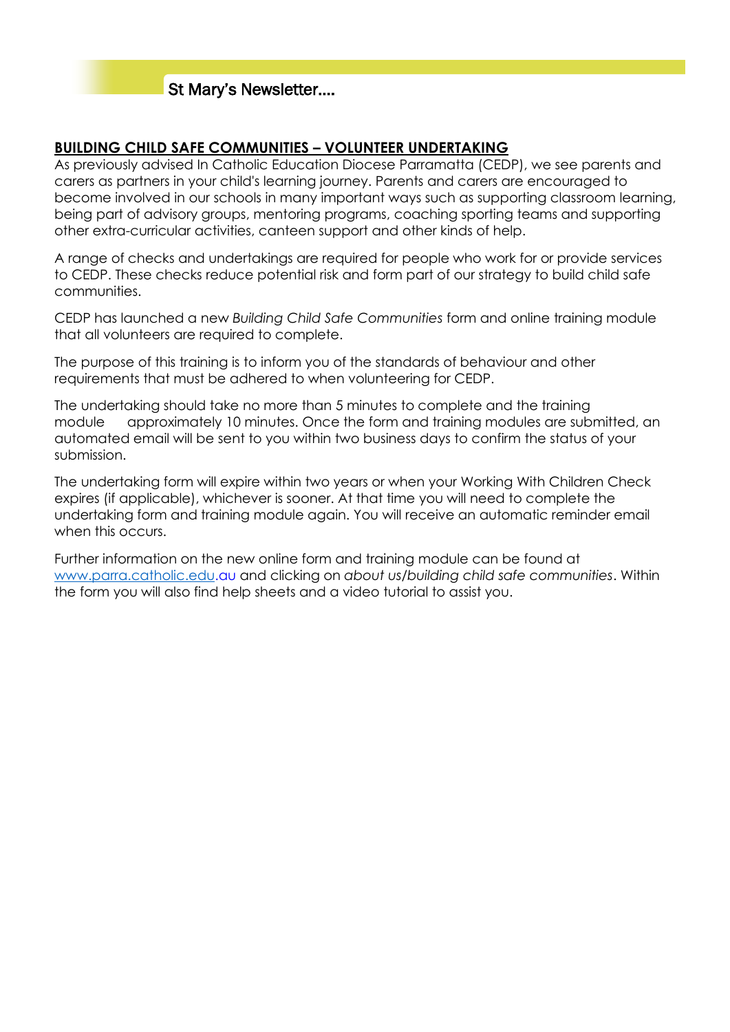#### **BUILDING CHILD SAFE COMMUNITIES – VOLUNTEER UNDERTAKING**

As previously advised In Catholic Education Diocese Parramatta (CEDP), we see parents and carers as partners in your child's learning journey. Parents and carers are encouraged to become involved in our schools in many important ways such as supporting classroom learning, being part of advisory groups, mentoring programs, coaching sporting teams and supporting other extra-curricular activities, canteen support and other kinds of help.

A range of checks and undertakings are required for people who work for or provide services to CEDP. These checks reduce potential risk and form part of our strategy to build child safe communities.

CEDP has launched a new *Building Child Safe Communities* form and online training module that all volunteers are required to complete.

The purpose of this training is to inform you of the standards of behaviour and other requirements that must be adhered to when volunteering for CEDP.

The undertaking should take no more than 5 minutes to complete and the training module approximately 10 minutes. Once the form and training modules are submitted, an automated email will be sent to you within two business days to confirm the status of your submission.

The undertaking form will expire within two years or when your Working With Children Check expires (if applicable), whichever is sooner. At that time you will need to complete the undertaking form and training module again. You will receive an automatic reminder email when this occurs.

Further information on the new online form and training module can be found at [www.parra.catholic.edu.](http://www.parra.catholic.edu.au/)au and clicking on *about us/building child safe communities*. Within the form you will also find help sheets and a video tutorial to assist you.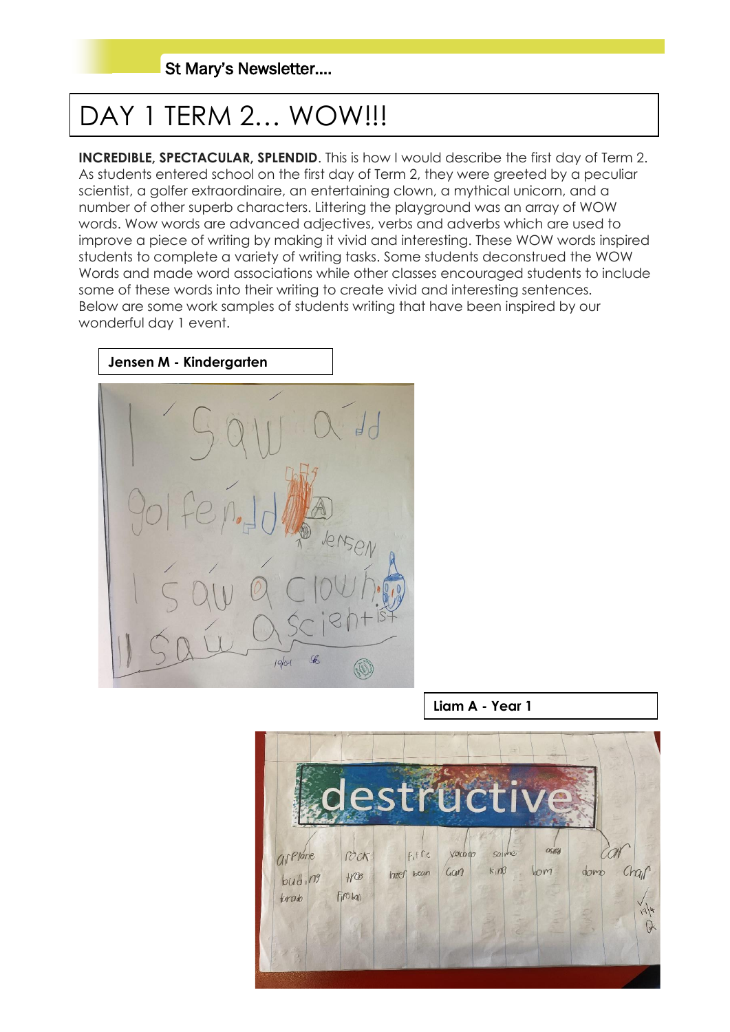# DAY 1 TERM 2... WOW!!!

**INCREDIBLE, SPECTACULAR, SPLENDID.** This is how I would describe the first day of Term 2. As students entered school on the first day of Term 2, they were greeted by a peculiar scientist, a golfer extraordinaire, an entertaining clown, a mythical unicorn, and a number of other superb characters. Littering the playground was an array of WOW words. Wow words are advanced adjectives, verbs and adverbs which are used to improve a piece of writing by making it vivid and interesting. These WOW words inspired students to complete a variety of writing tasks. Some students deconstrued the WOW Words and made word associations while other classes encouraged students to include some of these words into their writing to create vivid and interesting sentences. Below are some work samples of students writing that have been inspired by our wonderful day 1 event.



**Liam A - Year 1**

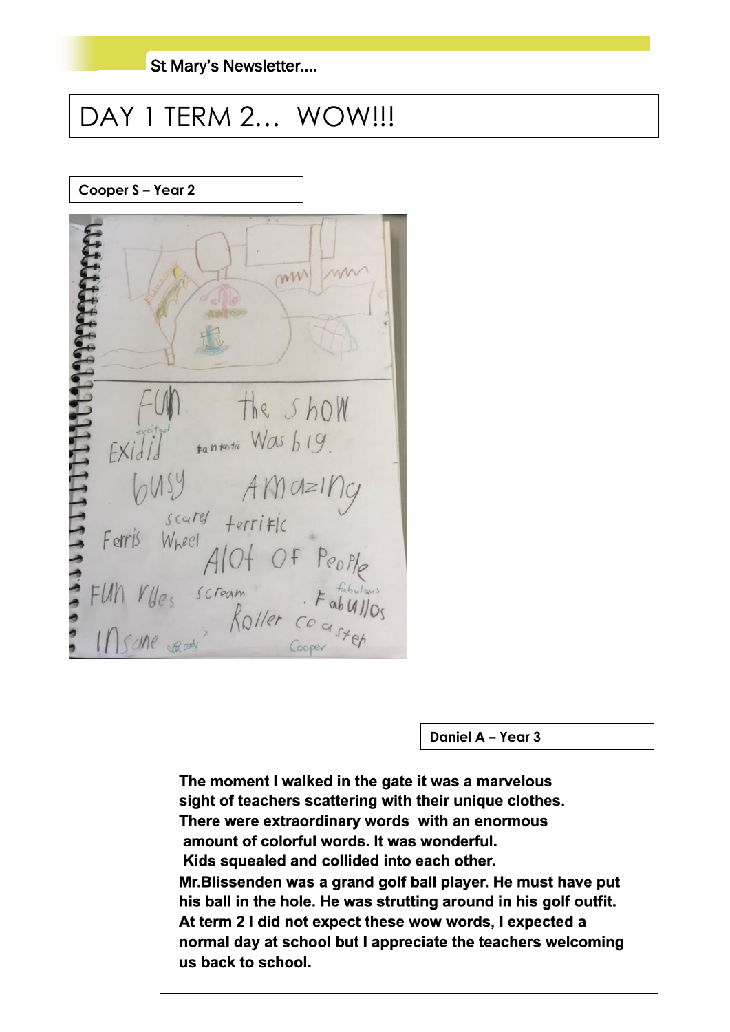## DAY 1 TERM 2... WOW!!!

**Cooper S – Year 2**



**Daniel A – Year 3**

The moment I walked in the gate it was a marvelous sight of teachers scattering with their unique clothes. There were extraordinary words with an enormous amount of colorful words. It was wonderful. Kids squealed and collided into each other. Mr. Blissenden was a grand golf ball player. He must have put his ball in the hole. He was strutting around in his golf outfit. At term 2 I did not expect these wow words, I expected a normal day at school but I appreciate the teachers welcoming us back to school.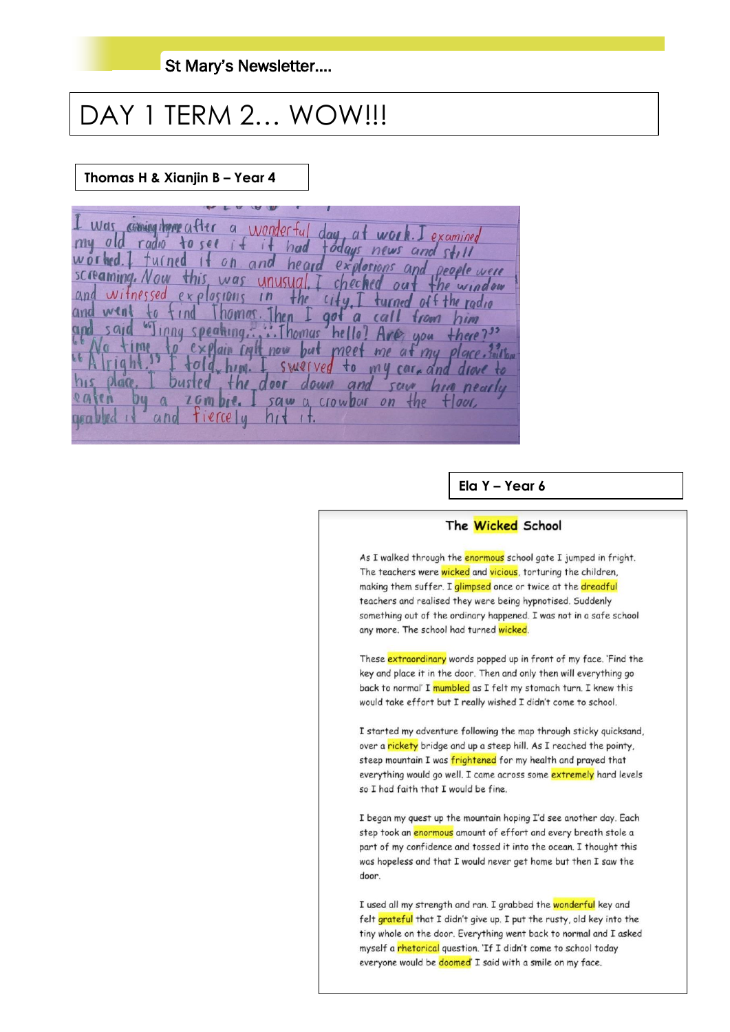## DAY 1 TERM 2... WOW!!!

#### Thomas H & Xianjin B - Year 4

I was coming them after a wonderful day, at work. I examined<br>my old radio to see if it had fodays news and still<br>worked. I furned it on and heard explosions and people were SCreaming. Now was unusual. I chec the window witnessed  $and$  $explasions$  $1n$ the  $i+u$ turned off the radio and we homas. gol from him inny speaking......Thomas hello? and  $5910$ Are you there?  $1106$ o explain right now but meet me at my place. swerved to my car, and drave hipi. busted the door down and  $\n *Alge*\n$ sau him nearly  $\alpha$ I saw a crowbar on the  $t$  *out* and tiercely  $n<sub>1</sub>$  $0.60$  by  $d \in \mathbb{R}$  $1<sup>†</sup>$ 

Ela Y - Year  $6$ 

#### The Wicked School

As I walked through the enormous school gate I jumped in fright. The teachers were wicked and vicious, torturing the children, making them suffer. I glimpsed once or twice at the dreadful teachers and realised they were being hypnotised. Suddenly something out of the ordinary happened. I was not in a safe school any more. The school had turned wicked.

These extraordinary words popped up in front of my face. 'Find the key and place it in the door. Then and only then will everything go back to normal' I mumbled as I felt my stomach turn. I knew this would take effort but I really wished I didn't come to school.

I started my adventure following the map through sticky quicksand, over a rickety bridge and up a steep hill. As I reached the pointy, steep mountain I was frightened for my health and prayed that everything would go well. I came across some extremely hard levels so I had faith that I would be fine.

I began my quest up the mountain hoping I'd see another day. Each step took an enormous amount of effort and every breath stole a part of my confidence and tossed it into the ocean. I thought this was hopeless and that I would never get home but then I saw the door.

I used all my strength and ran. I grabbed the wonderful key and felt grateful that I didn't give up. I put the rusty, old key into the tiny whole on the door. Everything went back to normal and I asked myself a rhetorical question. 'If I didn't come to school today everyone would be doomed' I said with a smile on my face.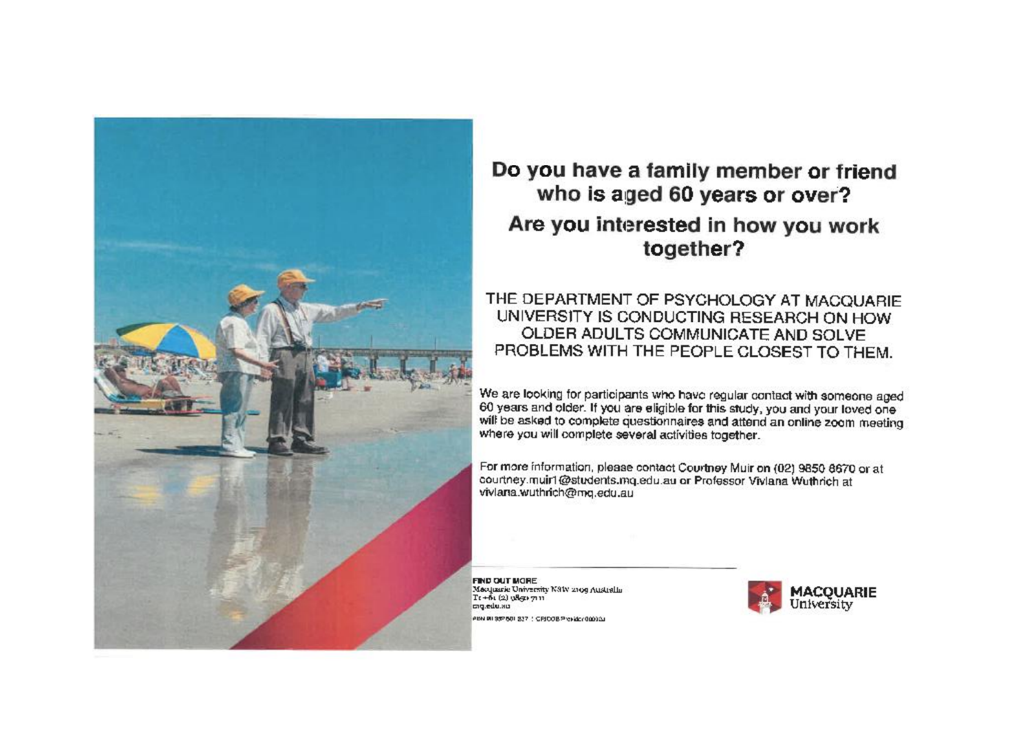

## Do you have a family member or friend who is aged 60 years or over? Are you interested in how you work together?

#### THE DEPARTMENT OF PSYCHOLOGY AT MACQUARIE UNIVERSITY IS CONDUCTING RESEARCH ON HOW OLDER ADULTS COMMUNICATE AND SOLVE PROBLEMS WITH THE PEOPLE CLOSEST TO THEM.

We are looking for participants who have regular contact with someone aged 60 years and older. If you are eligible for this study, you and your loved one will be asked to complete questionnaires and attend an online zoom meeting where you will complete several activities together.

For more information, please contact Courtney Muir on (02) 9850 8670 or at courtney muirl@students.mq.edu.au or Professor Viviana Wuthrich at viviana.wuthrich@mg.edu.au

FIND OUT MORE Macquarie University N81V 2109 Australia  $Tr + \delta$  (2)  $v$ <sup>8</sup> $gr$   $711$ cro.edu.au PEN RI 337501 237 / CPICOB President@00.00

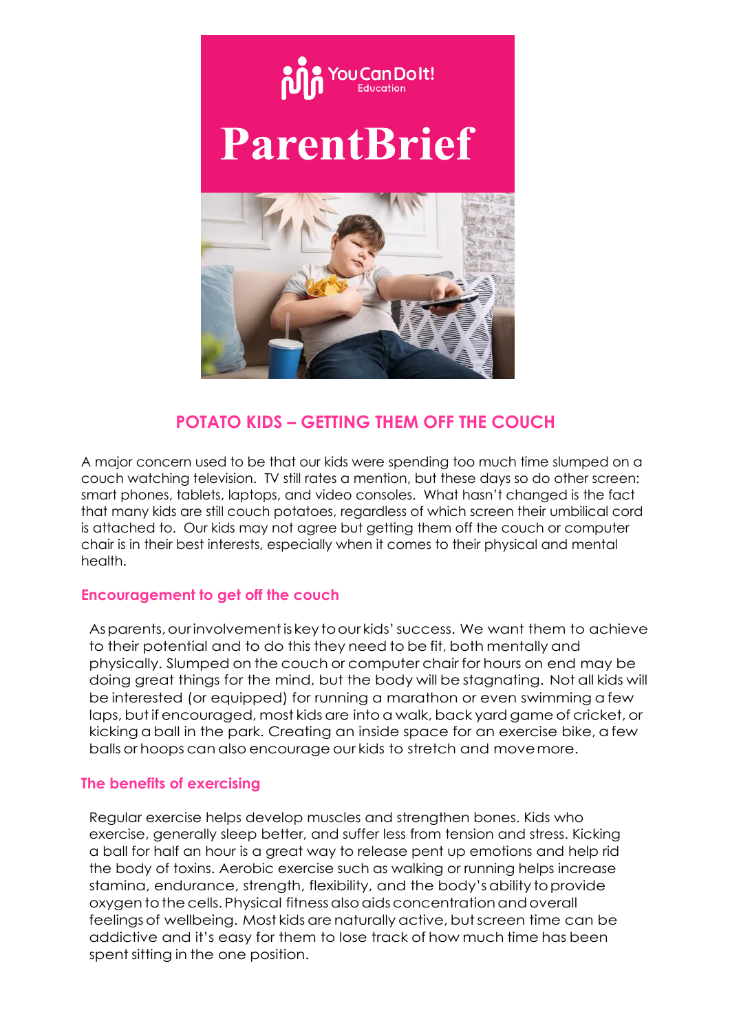

### **POTATO KIDS – GETTING THEM OFF THE COUCH**

A major concern used to be that our kids were spending too much time slumped on a couch watching television. TV still rates a mention, but these days so do other screen: smart phones, tablets, laptops, and video consoles. What hasn't changed is the fact that many kids are still couch potatoes, regardless of which screen their umbilical cord is attached to. Our kids may not agree but getting them off the couch or computer chair is in their best interests, especially when it comes to their physical and mental health.

#### **Encouragement to get off the couch**

Asparents,ourinvolvementis keytoour kids'success. We want them to achieve to their potential and to do this they need to be fit, both mentally and physically. Slumped on the couch or computer chair for hours on end may be doing great things for the mind, but the body will be stagnating. Not all kids will be interested (or equipped) for running a marathon or even swimming a few laps, but if encouraged, most kids are into a walk, back yard game of cricket, or kicking a ball in the park. Creating an inside space for an exercise bike, a few balls or hoops can also encourage our kids to stretch and movemore.

#### **The benefits of exercising**

Regular exercise helps develop muscles and strengthen bones. Kids who exercise, generally sleep better, and suffer less from tension and stress. Kicking a ball for half an hour is a great way to release pent up emotions and help rid the body of toxins. Aerobic exercise such as walking or running helps increase stamina, endurance, strength, flexibility, and the body'sability toprovide oxygen to the cells. Physical fitness also aids concentration and overall feelingsof wellbeing. Most kids arenaturallyactive, butscreen time can be addictive and it's easy for them to lose track of how much time has been spent sitting in the one position.